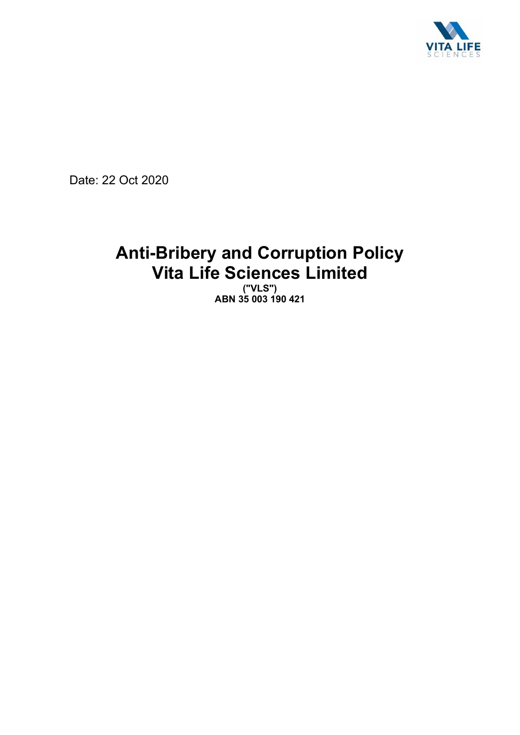

Date: 22 Oct 2020

# **Anti-Bribery and Corruption Policy Vita Life Sciences Limited**

**("VLS") ABN 35 003 190 421**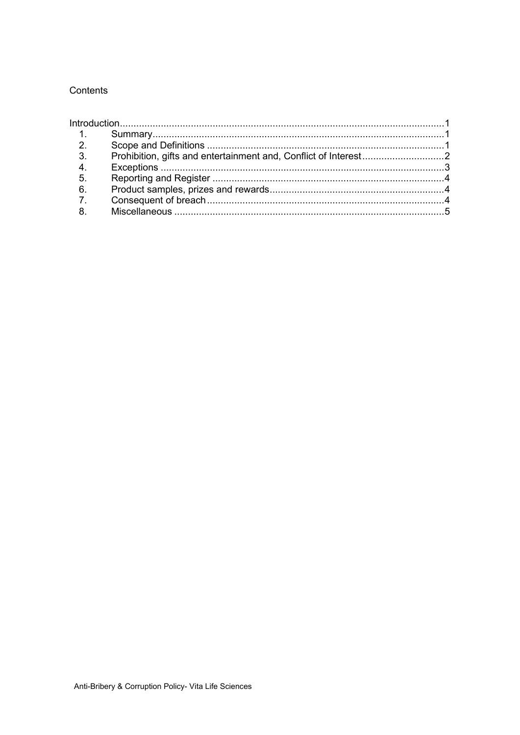### Contents

| 3.               |  |  |
|------------------|--|--|
| 4.               |  |  |
| 5.               |  |  |
| 6.               |  |  |
| $\overline{7}$ . |  |  |
| 8.               |  |  |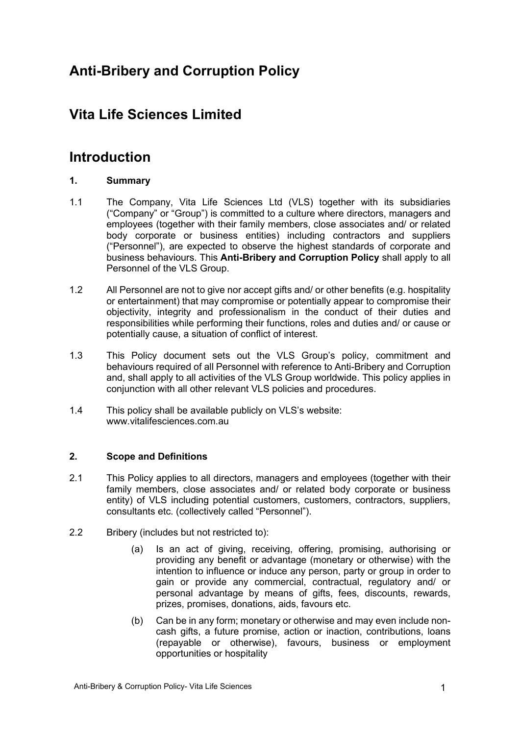# **Anti-Bribery and Corruption Policy**

# **Vita Life Sciences Limited**

# **Introduction**

## **1. Summary**

- 1.1 The Company, Vita Life Sciences Ltd (VLS) together with its subsidiaries ("Company" or "Group") is committed to a culture where directors, managers and employees (together with their family members, close associates and/ or related body corporate or business entities) including contractors and suppliers ("Personnel"), are expected to observe the highest standards of corporate and business behaviours. This **Anti-Bribery and Corruption Policy** shall apply to all Personnel of the VLS Group.
- 1.2 All Personnel are not to give nor accept gifts and/ or other benefits (e.g. hospitality or entertainment) that may compromise or potentially appear to compromise their objectivity, integrity and professionalism in the conduct of their duties and responsibilities while performing their functions, roles and duties and/ or cause or potentially cause, a situation of conflict of interest.
- 1.3 This Policy document sets out the VLS Group's policy, commitment and behaviours required of all Personnel with reference to Anti-Bribery and Corruption and, shall apply to all activities of the VLS Group worldwide. This policy applies in conjunction with all other relevant VLS policies and procedures.
- 1.4 This policy shall be available publicly on VLS's website: www.vitalifesciences.com.au

### **2. Scope and Definitions**

- 2.1 This Policy applies to all directors, managers and employees (together with their family members, close associates and/ or related body corporate or business entity) of VLS including potential customers, customers, contractors, suppliers, consultants etc. (collectively called "Personnel").
- 2.2 Bribery (includes but not restricted to):
	- (a) Is an act of giving, receiving, offering, promising, authorising or providing any benefit or advantage (monetary or otherwise) with the intention to influence or induce any person, party or group in order to gain or provide any commercial, contractual, regulatory and/ or personal advantage by means of gifts, fees, discounts, rewards, prizes, promises, donations, aids, favours etc.
	- (b) Can be in any form; monetary or otherwise and may even include noncash gifts, a future promise, action or inaction, contributions, loans (repayable or otherwise), favours, business or employment opportunities or hospitality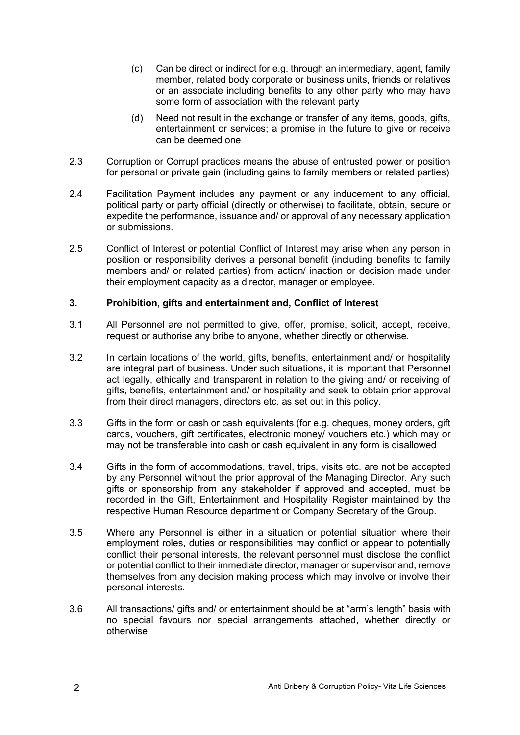- (c) Can be direct or indirect for e.g. through an intermediary, agent, family member, related body corporate or business units, friends or relatives or an associate including benefits to any other party who may have some form of association with the relevant party
- (d) Need not result in the exchange or transfer of any items, goods, gifts, entertainment or services; a promise in the future to give or receive can be deemed one
- 2.3 Corruption or Corrupt practices means the abuse of entrusted power or position for personal or private gain (including gains to family members or related parties)
- 2.4 Facilitation Payment includes any payment or any inducement to any official, political party or party official (directly or otherwise) to facilitate, obtain, secure or expedite the performance, issuance and/ or approval of any necessary application or submissions.
- 2.5 Conflict of Interest or potential Conflict of Interest may arise when any person in position or responsibility derives a personal benefit (including benefits to family members and/ or related parties) from action/ inaction or decision made under their employment capacity as a director, manager or employee.

## **3. Prohibition, gifts and entertainment and, Conflict of Interest**

- 3.1 All Personnel are not permitted to give, offer, promise, solicit, accept, receive, request or authorise any bribe to anyone, whether directly or otherwise.
- 3.2 In certain locations of the world, gifts, benefits, entertainment and/ or hospitality are integral part of business. Under such situations, it is important that Personnel act legally, ethically and transparent in relation to the giving and/ or receiving of gifts, benefits, entertainment and/ or hospitality and seek to obtain prior approval from their direct managers, directors etc. as set out in this policy.
- 3.3 Gifts in the form or cash or cash equivalents (for e.g. cheques, money orders, gift cards, vouchers, gift certificates, electronic money/ vouchers etc.) which may or may not be transferable into cash or cash equivalent in any form is disallowed
- 3.4 Gifts in the form of accommodations, travel, trips, visits etc. are not be accepted by any Personnel without the prior approval of the Managing Director. Any such gifts or sponsorship from any stakeholder if approved and accepted, must be recorded in the Gift, Entertainment and Hospitality Register maintained by the respective Human Resource department or Company Secretary of the Group.
- 3.5 Where any Personnel is either in a situation or potential situation where their employment roles, duties or responsibilities may conflict or appear to potentially conflict their personal interests, the relevant personnel must disclose the conflict or potential conflict to their immediate director, manager or supervisor and, remove themselves from any decision making process which may involve or involve their personal interests.
- 3.6 All transactions/ gifts and/ or entertainment should be at "arm's length" basis with no special favours nor special arrangements attached, whether directly or otherwise.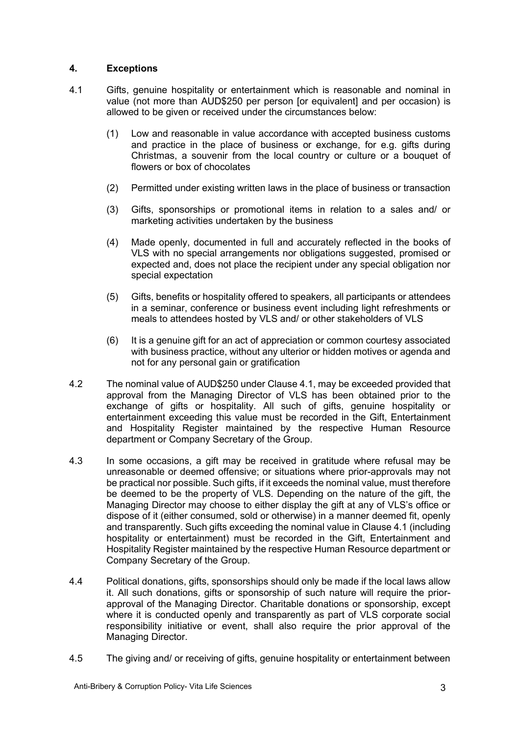#### **4. Exceptions**

- 4.1 Gifts, genuine hospitality or entertainment which is reasonable and nominal in value (not more than AUD\$250 per person [or equivalent] and per occasion) is allowed to be given or received under the circumstances below:
	- (1) Low and reasonable in value accordance with accepted business customs and practice in the place of business or exchange, for e.g. gifts during Christmas, a souvenir from the local country or culture or a bouquet of flowers or box of chocolates
	- (2) Permitted under existing written laws in the place of business or transaction
	- (3) Gifts, sponsorships or promotional items in relation to a sales and/ or marketing activities undertaken by the business
	- (4) Made openly, documented in full and accurately reflected in the books of VLS with no special arrangements nor obligations suggested, promised or expected and, does not place the recipient under any special obligation nor special expectation
	- (5) Gifts, benefits or hospitality offered to speakers, all participants or attendees in a seminar, conference or business event including light refreshments or meals to attendees hosted by VLS and/ or other stakeholders of VLS
	- (6) It is a genuine gift for an act of appreciation or common courtesy associated with business practice, without any ulterior or hidden motives or agenda and not for any personal gain or gratification
- 4.2 The nominal value of AUD\$250 under Clause 4.1, may be exceeded provided that approval from the Managing Director of VLS has been obtained prior to the exchange of gifts or hospitality. All such of gifts, genuine hospitality or entertainment exceeding this value must be recorded in the Gift, Entertainment and Hospitality Register maintained by the respective Human Resource department or Company Secretary of the Group.
- 4.3 In some occasions, a gift may be received in gratitude where refusal may be unreasonable or deemed offensive; or situations where prior-approvals may not be practical nor possible. Such gifts, if it exceeds the nominal value, must therefore be deemed to be the property of VLS. Depending on the nature of the gift, the Managing Director may choose to either display the gift at any of VLS's office or dispose of it (either consumed, sold or otherwise) in a manner deemed fit, openly and transparently. Such gifts exceeding the nominal value in Clause 4.1 (including hospitality or entertainment) must be recorded in the Gift, Entertainment and Hospitality Register maintained by the respective Human Resource department or Company Secretary of the Group.
- 4.4 Political donations, gifts, sponsorships should only be made if the local laws allow it. All such donations, gifts or sponsorship of such nature will require the priorapproval of the Managing Director. Charitable donations or sponsorship, except where it is conducted openly and transparently as part of VLS corporate social responsibility initiative or event, shall also require the prior approval of the Managing Director.
- 4.5 The giving and/ or receiving of gifts, genuine hospitality or entertainment between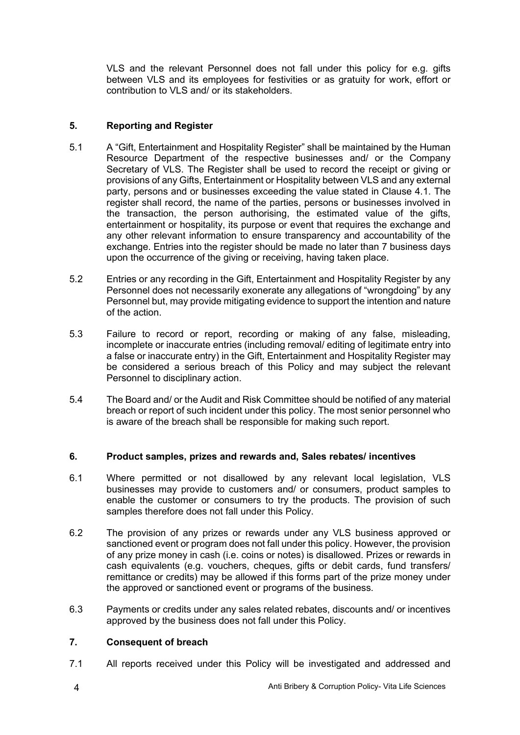VLS and the relevant Personnel does not fall under this policy for e.g. gifts between VLS and its employees for festivities or as gratuity for work, effort or contribution to VLS and/ or its stakeholders.

# **5. Reporting and Register**

- 5.1 A "Gift, Entertainment and Hospitality Register" shall be maintained by the Human Resource Department of the respective businesses and/ or the Company Secretary of VLS. The Register shall be used to record the receipt or giving or provisions of any Gifts, Entertainment or Hospitality between VLS and any external party, persons and or businesses exceeding the value stated in Clause 4.1. The register shall record, the name of the parties, persons or businesses involved in the transaction, the person authorising, the estimated value of the gifts, entertainment or hospitality, its purpose or event that requires the exchange and any other relevant information to ensure transparency and accountability of the exchange. Entries into the register should be made no later than 7 business days upon the occurrence of the giving or receiving, having taken place.
- 5.2 Entries or any recording in the Gift, Entertainment and Hospitality Register by any Personnel does not necessarily exonerate any allegations of "wrongdoing" by any Personnel but, may provide mitigating evidence to support the intention and nature of the action.
- 5.3 Failure to record or report, recording or making of any false, misleading, incomplete or inaccurate entries (including removal/ editing of legitimate entry into a false or inaccurate entry) in the Gift, Entertainment and Hospitality Register may be considered a serious breach of this Policy and may subject the relevant Personnel to disciplinary action.
- 5.4 The Board and/ or the Audit and Risk Committee should be notified of any material breach or report of such incident under this policy. The most senior personnel who is aware of the breach shall be responsible for making such report.

#### **6. Product samples, prizes and rewards and, Sales rebates/ incentives**

- 6.1 Where permitted or not disallowed by any relevant local legislation, VLS businesses may provide to customers and/ or consumers, product samples to enable the customer or consumers to try the products. The provision of such samples therefore does not fall under this Policy.
- 6.2 The provision of any prizes or rewards under any VLS business approved or sanctioned event or program does not fall under this policy. However, the provision of any prize money in cash (i.e. coins or notes) is disallowed. Prizes or rewards in cash equivalents (e.g. vouchers, cheques, gifts or debit cards, fund transfers/ remittance or credits) may be allowed if this forms part of the prize money under the approved or sanctioned event or programs of the business.
- 6.3 Payments or credits under any sales related rebates, discounts and/ or incentives approved by the business does not fall under this Policy.

### **7. Consequent of breach**

7.1 All reports received under this Policy will be investigated and addressed and